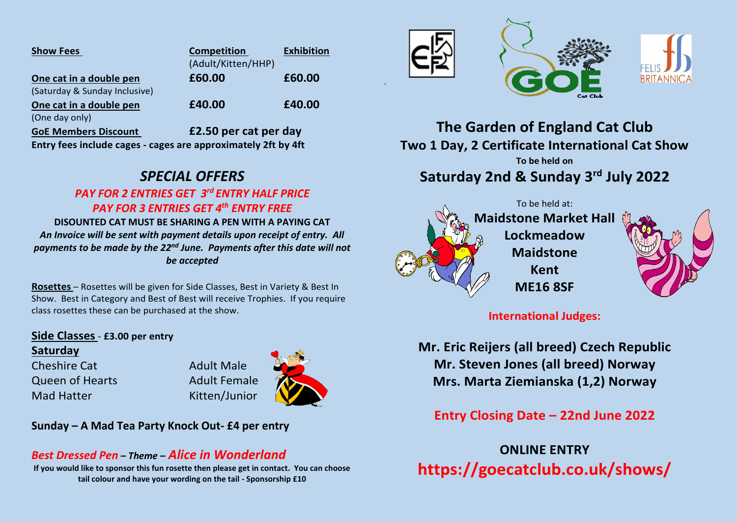| <b>Show Fees</b>              | <b>Competition</b>    | <b>Exhibition</b> |
|-------------------------------|-----------------------|-------------------|
|                               | (Adult/Kitten/HHP)    |                   |
| One cat in a double pen       | £60.00                | £60.00            |
| (Saturday & Sunday Inclusive) |                       |                   |
| One cat in a double pen       | £40.00                | £40.00            |
| (One day only)                |                       |                   |
| CoF Mombors Dissount          | 52 50 nor cat nor day |                   |

**GoE Members Discount £2.50 per cat per day Entry fees include cages - cages are approximately 2ft by 4ft**

# *SPECIAL OFFERS*

### *PAY FOR 2 ENTRIES GET 3rd ENTRY HALF PRICE PAY FOR 3 ENTRIES GET 4th ENTRY FREE*

**DISOUNTED CAT MUST BE SHARING A PEN WITH A PAYING CAT** *An Invoice will be sent with payment details upon receipt of entry. All payments to be made by the 22nd June. Payments after this date will not be accepted*

**Rosettes** – Rosettes will be given for Side Classes, Best in Variety & Best In Show. Best in Category and Best of Best will receive Trophies. If you require class rosettes these can be purchased at the show.

#### **Side Classes** - **£3.00 per entry**

#### **Saturday**

Cheshire Cat **Adult Male** Queen of Hearts **Adult Female** Mad Hatter Kitten/Junior



## *Best Dressed Pen – Theme – Alice in Wonderland*

**If you would like to sponsor this fun rosette then please get in contact. You can choose tail colour and have your wording on the tail - Sponsorship £10**



.





**The Garden of England Cat Club Two 1 Day, 2 Certificate International Cat Show To be held on Saturday 2nd & Sunday 3 rd July 2022**





**International Judges:**

**Mr. Eric Reijers (all breed) Czech Republic Mr. Steven Jones (all breed) Norway Mrs. Marta Ziemianska (1,2) Norway**

**Entry Closing Date – 22nd June 2022**

**ONLINE ENTRY https://goecatclub.co.uk/shows/**